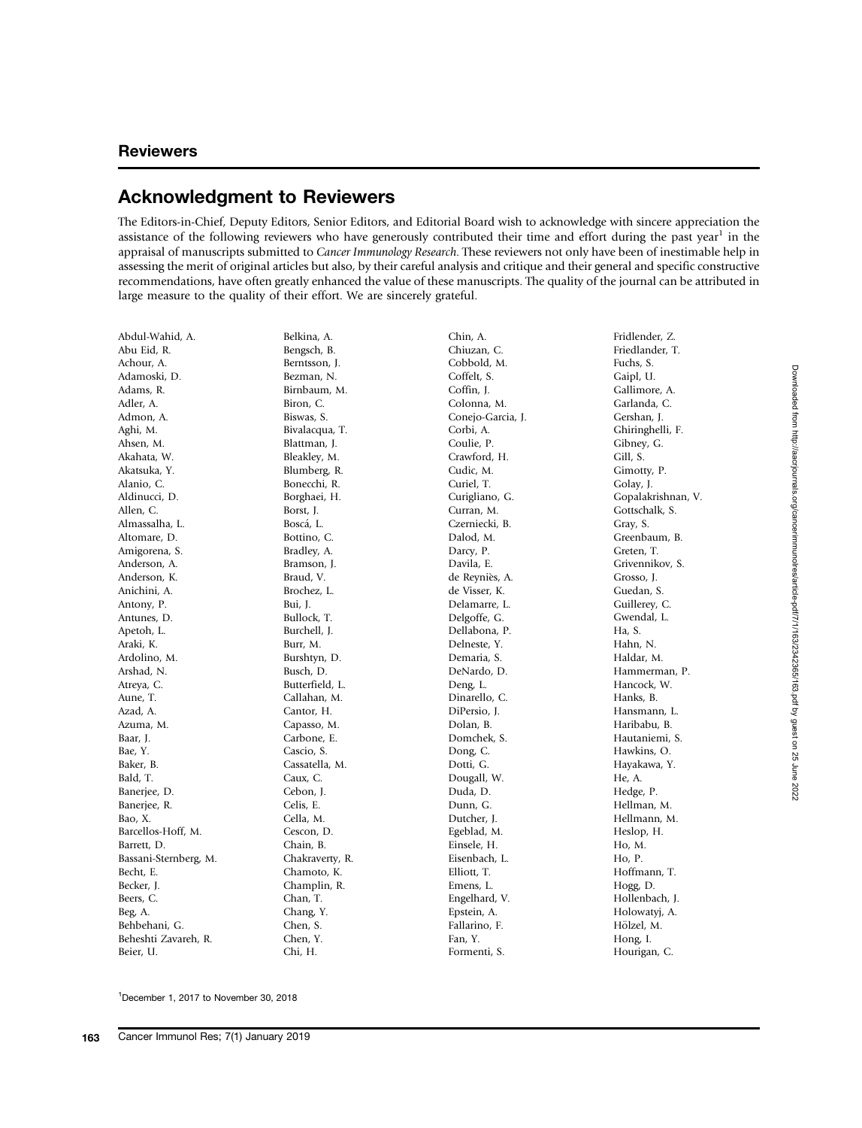<sup>1</sup>December 1, 2017 to November 30, 2018 December 1, 2017 to November 30, 2018

## Acknowledgment to Reviewers

The Editors-in-Chief, Deputy Editors, Senior Editors, and Editorial Board wish to acknowledge with sincere appreciation the assistance of the following reviewers who have generously contributed their time and effort during the past year<sup>1</sup> in the appraisal of manuscripts submitted to Cancer Immunology Research. These reviewers not only have been of inestimable help in assessing the merit of original articles but also, by their careful analysis and critique and their general and specific constructive recommendations, have often greatly enhanced the value of these manuscripts. The quality of the journal can be attributed in large measure to the quality of their effort. We are sincerely grateful.

Abdul-Wahid, A. Abu Eid, R. Achour, A. Adamoski, D. Adams, R. Adler, A. Admon, A. Aghi, M. Ahsen, M. Akahata, W. Akatsuka, Y. Alanio, C. Aldinucci, D. Allen, C. Almassalha, L. Altomare, D. Amigorena, S. Anderson, A. Anderson, K. Anichini, A. Antony, P. Antunes, D. Apetoh, L. Araki, K. Ardolino, M. Arshad, N. Atreya, C. Aune, T. Azad, A. Azuma, M. Baar, J. Bae, Y. Baker, B. Bald, T. Banerjee, D. Banerjee, R. Bao, X. Barcellos-Hoff, M. Barrett, D. Bassani-Sternberg, M. Becht, E. Becker, J. Beers, C. Beg, A. Behbehani, G. Beheshti Zavareh, R. Beier, U. Belkina, A. Bengsch, B. Berntsson, J. Bezman, N. Birnbaum, M. Biron, C. Biswas, S. Bivalacqua, T. Blattman, J. Bleakley, M. Blumberg, R. Bonecchi, R. Borghaei, H. Borst, J. Bosca, L. Bottino, C. Bradley, A. Bramson, J. Braud, V. Brochez, L. Bui, J. Bullock, T. Burchell, J. Burr, M. Burshtyn, D. Busch, D. Butterfield, L. Callahan, M. Cantor, H. Capasso, M. Carbone, E. Cascio, S. Cassatella, M. Caux, C. Cebon, J. Celis, E. Cella, M. Cescon, D. Chain, B. Chakraverty, R. Chamoto, K. Champlin, R. Chan, T. Chang, Y. Chen, S. Chen, Y. Chi, H.

Chin, A. Chiuzan, C. Cobbold, M. Coffelt, S. Coffin, J. Colonna, M. Conejo-Garcia, J. Corbi, A. Coulie, P. Crawford, H. Cudic, M. Curiel, T. Curigliano, G. Curran, M. Czerniecki, B. Dalod, M. Darcy, P. Davila, E. de Reynies, A. de Visser, K. Delamarre, L. Delgoffe, G. Dellabona, P. Delneste, Y. Demaria, S. DeNardo, D. Deng, L. Dinarello, C. DiPersio, J. Dolan, B. Domchek, S. Dong, C. Dotti, G. Dougall, W. Duda, D. Dunn, G. Dutcher, J. Egeblad, M. Einsele, H. Eisenbach, L. Elliott, T. Emens, L. Engelhard, V. Epstein, A. Fallarino, F. Fan, Y.

Formenti, S.

Fridlender, Z. Friedlander, T. Fuchs, S. Gaipl, U. Gallimore, A. Garlanda, C. Gershan, J. Ghiringhelli, F. Gibney, G. Gill, S. Gimotty, P. Golay, J. Gopalakrishnan, V. Gottschalk, S. Gray, S. Greenbaum, B. Greten, T. Grivennikov, S. Grosso, J. Guedan, S. Guillerey, C. Gwendal, L. Ha, S. Hahn, N. Haldar, M. Hammerman, P. Hancock, W. Hanks, B. Hansmann, L. Haribabu, B. Hautaniemi, S. Hawkins, O. Hayakawa, Y. He, A. Hedge, P. Hellman, M. Hellmann, M. Heslop, H. Ho, M. Ho, P. Hoffmann, T. Hogg, D. Hollenbach, J. Holowatyj, A. Hölzel, M. Hong, I. Hourigan, C.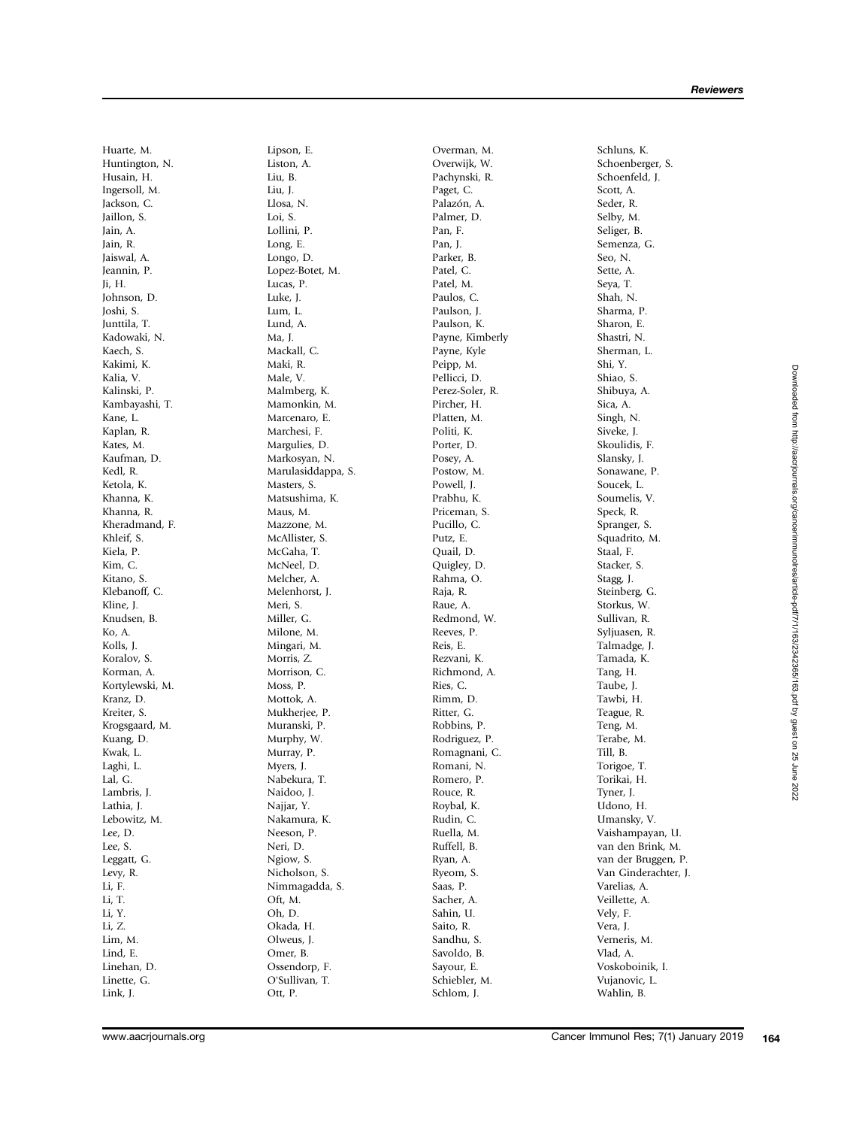Huarte, M. Huntington, N. Husain, H. Ingersoll, M. Jackson, C. Jaillon, S. Jain, A. Jain, R. Jaiswal, A. Jeannin, P. Ji, H. Johnson, D. Joshi, S. Junttila, T. Kadowaki, N. Kaech, S. Kakimi, K. Kalia, V. Kalinski, P. Kambayashi, T. Kane, L. Kaplan, R. Kates, M. Kaufman, D. Kedl, R. Ketola, K. Khanna, K. Khanna, R. Kheradmand, F. Khleif, S. Kiela, P. Kim, C. Kitano, S. Klebanoff, C. Kline, J. Knudsen, B. Ko, A. Kolls, J. Koralov, S. Korman, A. Kortylewski, M. Kranz, D. Kreiter, S. Krogsgaard, M. Kuang, D. Kwak, L. Laghi, L. Lal, G. Lambris, J. Lathia, J. Lebowitz, M. Lee, D. Lee, S. Leggatt, G. Levy, R. Li, F. Li, T. Li, Y. Li, Z. Lim, M. Lind, E. Linehan, D. Linette, G. Link, J.

Lipson, E. Liston, A. Liu, B. Liu, J. Llosa, N. Loi, S. Lollini, P. Long, E. Longo, D. Lopez-Botet, M. Lucas, P. Luke, J. Lum, L. Lund, A. Ma, J. Mackall, C. Maki, R. Male, V. Malmberg, K. Mamonkin, M. Marcenaro, E. Marchesi, F. Margulies, D. Markosyan, N. Marulasiddappa, S. Masters, S. Matsushima, K. Maus, M. Mazzone, M. McAllister, S. McGaha, T. McNeel, D. Melcher, A. Melenhorst, J. Meri, S. Miller, G. Milone, M. Mingari, M. Morris, Z. Morrison, C. Moss, P. Mottok, A. Mukheriee, P. Muranski, P. Murphy, W. Murray, P. Myers, J. Nabekura, T. Naidoo, J. Najjar, Y. Nakamura, K. Neeson, P. Neri, D. Ngiow, S. Nicholson, S. Nimmagadda, S. Oft, M. Oh, D. Okada, H. Olweus, J. Omer, B. Ossendorp, F. O'Sullivan, T. Ott, P.

Overman, M. Overwijk, W. Pachynski, R. Paget, C. Palazón, A. Palmer, D. Pan, F. Pan, J. Parker, B. Patel, C. Patel, M. Paulos, C. Paulson, J. Paulson, K. Payne, Kimberly Payne, Kyle Peipp, M. Pellicci, D. Perez-Soler, R. Pircher, H. Platten, M. Politi, K. Porter, D. Posey, A. Postow, M. Powell, J. Prabhu, K. Priceman, S. Pucillo, C. Putz, E. Quail, D. Quigley, D. Rahma, O. Raja, R. Raue, A. Redmond, W. Reeves, P. Reis, E. Rezvani, K. Richmond, A. Ries, C. Rimm, D. Ritter, G. Robbins, P. Rodriguez, P. Romagnani, C. Romani, N. Romero, P. Rouce, R. Roybal, K. Rudin, C. Ruella, M. Ruffell, B. Ryan, A. Ryeom, S. Saas, P. Sacher, A. Sahin, U. Saito, R. Sandhu, S. Savoldo, B. Sayour, E. Schiebler, M. Schlom, J.

Schoenberger, S. Schoenfeld, J. Scott, A. Seder, R. Selby, M. Seliger, B. Semenza, G. Seo, N. Sette, A. Seya, T. Shah, N. Sharma, P. Sharon, E. Shastri, N. Sherman, L. Shi, Y. Shiao, S. Shibuya, A. Sica, A. Singh, N. Siveke, J. Skoulidis, F. Slansky, J. Sonawane, P. Soucek, L. Soumelis, V. Speck, R. Spranger, S. Squadrito, M. Staal, F. Stacker, S. Stagg, J. Steinberg, G. Storkus, W. Sullivan, R. Syljuasen, R. Talmadge, J. Tamada, K. Tang, H. Taube, J. Tawbi, H. Teague, R. Teng, M. Terabe, M. Till, B. Torigoe, T. Torikai, H. Tyner, J. Udono, H. Umansky, V. Vaishampayan, U. van den Brink, M. van der Bruggen, P. Van Ginderachter, J. Varelias, A. Veillette, A. Vely, F. Vera, J. Verneris, M. Vlad, A. Voskoboinik, I. Vujanovic, L. Wahlin, B.

Schluns, K.